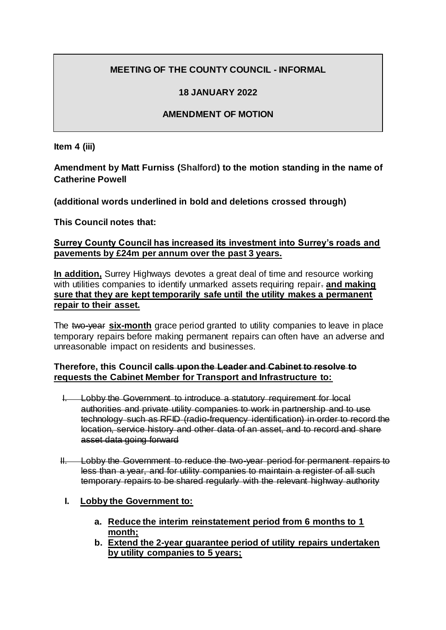# **MEETING OF THE COUNTY COUNCIL - INFORMAL**

### **18 JANUARY 2022**

## **AMENDMENT OF MOTION**

**Item 4 (iii)**

**Amendment by Matt Furniss (Shalford) to the motion standing in the name of Catherine Powell**

**(additional words underlined in bold and deletions crossed through)**

**This Council notes that:**

### **Surrey County Council has increased its investment into Surrey's roads and pavements by £24m per annum over the past 3 years.**

**In addition,** Surrey Highways devotes a great deal of time and resource working with utilities companies to identify unmarked assets requiring repair. **and making sure that they are kept temporarily safe until the utility makes a permanent repair to their asset.**

The two-year **six-month** grace period granted to utility companies to leave in place temporary repairs before making permanent repairs can often have an adverse and unreasonable impact on residents and businesses.

#### **Therefore, this Council calls upon the Leader and Cabinet to resolve to requests the Cabinet Member for Transport and Infrastructure to:**

- I. Lobby the Government to introduce a statutory requirement for local authorities and private utility companies to work in partnership and to use technology such as RFID (radio-frequency identification) in order to record the location, service history and other data of an asset, and to record and share asset data going forward
- II. Lobby the Government to reduce the two-year period for permanent repairs to less than a year, and for utility companies to maintain a register of all such temporary repairs to be shared regularly with the relevant highway authority
	- **I. Lobby the Government to:**
		- **a. Reduce the interim reinstatement period from 6 months to 1 month;**
		- **b. Extend the 2-year guarantee period of utility repairs undertaken by utility companies to 5 years;**